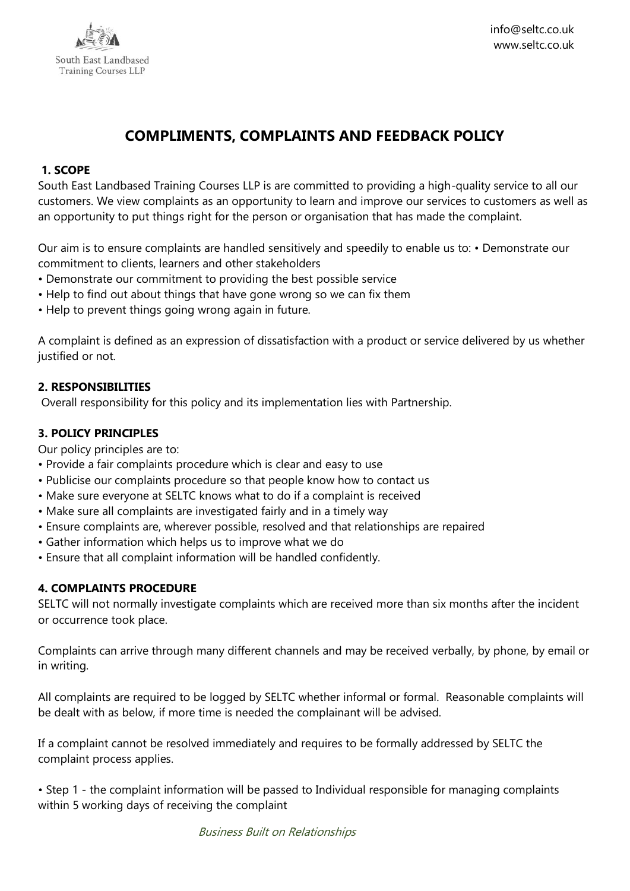

# **COMPLIMENTS, COMPLAINTS AND FEEDBACK POLICY**

#### **1. SCOPE**

South East Landbased Training Courses LLP is are committed to providing a high-quality service to all our customers. We view complaints as an opportunity to learn and improve our services to customers as well as an opportunity to put things right for the person or organisation that has made the complaint.

Our aim is to ensure complaints are handled sensitively and speedily to enable us to: • Demonstrate our commitment to clients, learners and other stakeholders

- Demonstrate our commitment to providing the best possible service
- Help to find out about things that have gone wrong so we can fix them
- Help to prevent things going wrong again in future.

A complaint is defined as an expression of dissatisfaction with a product or service delivered by us whether justified or not.

## **2. RESPONSIBILITIES**

Overall responsibility for this policy and its implementation lies with Partnership.

## **3. POLICY PRINCIPLES**

Our policy principles are to:

- Provide a fair complaints procedure which is clear and easy to use
- Publicise our complaints procedure so that people know how to contact us
- Make sure everyone at SELTC knows what to do if a complaint is received
- Make sure all complaints are investigated fairly and in a timely way
- Ensure complaints are, wherever possible, resolved and that relationships are repaired
- Gather information which helps us to improve what we do
- Ensure that all complaint information will be handled confidently.

## **4. COMPLAINTS PROCEDURE**

SELTC will not normally investigate complaints which are received more than six months after the incident or occurrence took place.

Complaints can arrive through many different channels and may be received verbally, by phone, by email or in writing.

All complaints are required to be logged by SELTC whether informal or formal. Reasonable complaints will be dealt with as below, if more time is needed the complainant will be advised.

If a complaint cannot be resolved immediately and requires to be formally addressed by SELTC the complaint process applies.

• Step 1 - the complaint information will be passed to Individual responsible for managing complaints within 5 working days of receiving the complaint

Business Built on Relationships